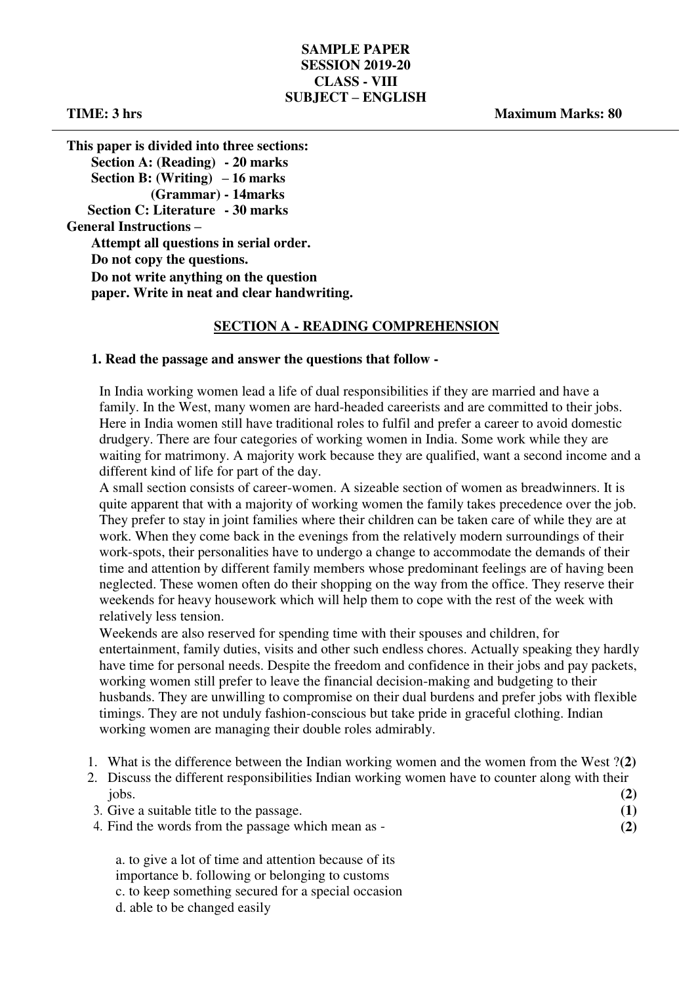# **SAMPLE PAPER SESSION 2019-20 CLASS - VIII SUBJECT – ENGLISH**

**TIME: 3 hrs Maximum Marks: 80** 

**This paper is divided into three sections: Section A: (Reading) - 20 marks Section B: (Writing) – 16 marks (Grammar) - 14marks Section C: Literature - 30 marks General Instructions – Attempt all questions in serial order. Do not copy the questions. Do not write anything on the question paper. Write in neat and clear handwriting.** 

# **SECTION A - READING COMPREHENSION**

### **1. Read the passage and answer the questions that follow -**

In India working women lead a life of dual responsibilities if they are married and have a family. In the West, many women are hard-headed careerists and are committed to their jobs. Here in India women still have traditional roles to fulfil and prefer a career to avoid domestic drudgery. There are four categories of working women in India. Some work while they are waiting for matrimony. A majority work because they are qualified, want a second income and a different kind of life for part of the day.

A small section consists of career-women. A sizeable section of women as breadwinners. It is quite apparent that with a majority of working women the family takes precedence over the job. They prefer to stay in joint families where their children can be taken care of while they are at work. When they come back in the evenings from the relatively modern surroundings of their work-spots, their personalities have to undergo a change to accommodate the demands of their time and attention by different family members whose predominant feelings are of having been neglected. These women often do their shopping on the way from the office. They reserve their weekends for heavy housework which will help them to cope with the rest of the week with relatively less tension.

Weekends are also reserved for spending time with their spouses and children, for entertainment, family duties, visits and other such endless chores. Actually speaking they hardly have time for personal needs. Despite the freedom and confidence in their jobs and pay packets, working women still prefer to leave the financial decision-making and budgeting to their husbands. They are unwilling to compromise on their dual burdens and prefer jobs with flexible timings. They are not unduly fashion-conscious but take pride in graceful clothing. Indian working women are managing their double roles admirably.

- 1. What is the difference between the Indian working women and the women from the West ?**(2)**
- 2. Discuss the different responsibilities Indian working women have to counter along with their jobs. **(2)**

|   |  |  | 3. Give a suitable title to the passage. |  |  |
|---|--|--|------------------------------------------|--|--|
| . |  |  |                                          |  |  |

4. Find the words from the passage which mean as - **(2)** 

a. to give a lot of time and attention because of its importance b. following or belonging to customs c. to keep something secured for a special occasion d. able to be changed easily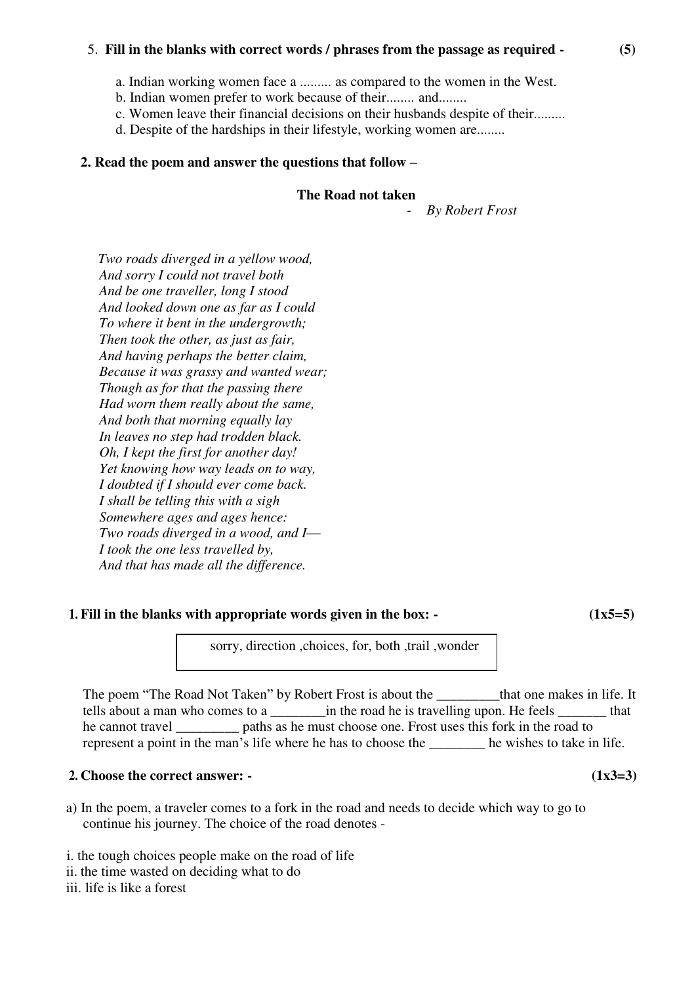# 5. **Fill in the blanks with correct words / phrases from the passage as required - (5)**

- a. Indian working women face a ......... as compared to the women in the West.
- b. Indian women prefer to work because of their........ and........
- c. Women leave their financial decisions on their husbands despite of their.........
- d. Despite of the hardships in their lifestyle, working women are........

# **2. Read the poem and answer the questions that follow –**

# **The Road not taken**

*- By Robert Frost* 

*Two roads diverged in a yellow wood, And sorry I could not travel both And be one traveller, long I stood And looked down one as far as I could To where it bent in the undergrowth; Then took the other, as just as fair, And having perhaps the better claim, Because it was grassy and wanted wear; Though as for that the passing there Had worn them really about the same, And both that morning equally lay In leaves no step had trodden black. Oh, I kept the first for another day! Yet knowing how way leads on to way, I doubted if I should ever come back. I shall be telling this with a sigh Somewhere ages and ages hence: Two roads diverged in a wood, and I–– I took the one less travelled by, And that has made all the difference.* 

# **1.** Fill in the blanks with appropriate words given in the box:  $\cdot$  (1x5=5)

sorry, direction ,choices, for, both ,trail ,wonder

The poem "The Road Not Taken" by Robert Frost is about the \_\_\_\_\_\_\_\_\_that one makes in life. It tells about a man who comes to a can also in the road he is travelling upon. He feels that he cannot travel <u>experience</u> paths as he must choose one. Frost uses this fork in the road to represent a point in the man's life where he has to choose the \_\_\_\_\_\_\_\_ he wishes to take in life.

# **2.** Choose the correct answer:  $\cdot$  (1x3=3)

- a) In the poem, a traveler comes to a fork in the road and needs to decide which way to go to continue his journey. The choice of the road denotes -
- i. the tough choices people make on the road of life
- ii. the time wasted on deciding what to do
- iii. life is like a forest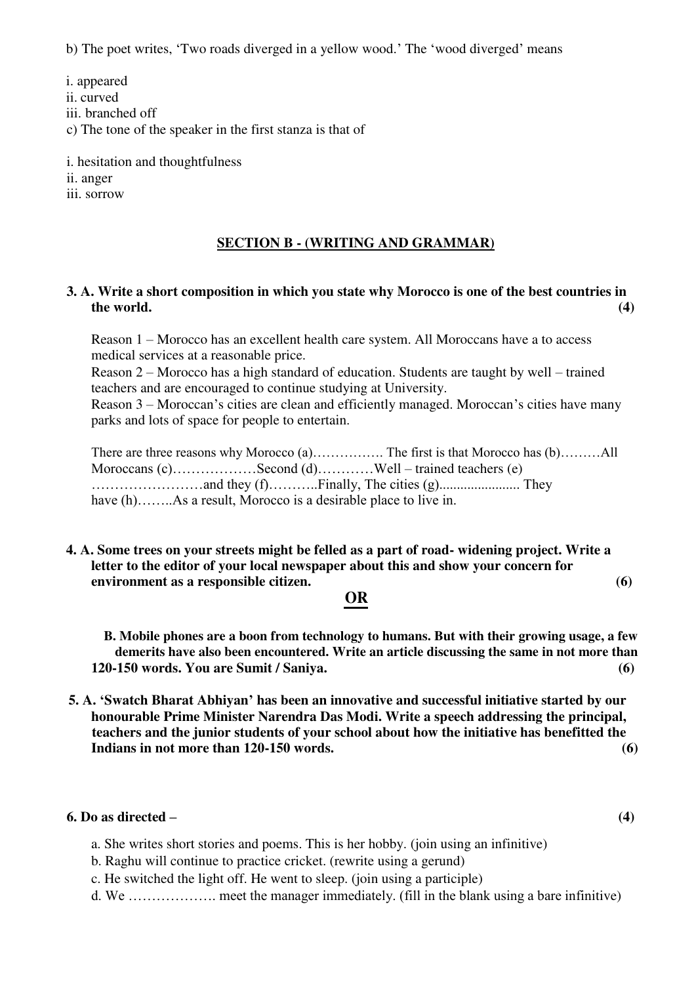b) The poet writes, 'Two roads diverged in a yellow wood.' The 'wood diverged' means

i. appeared ii. curved iii. branched off c) The tone of the speaker in the first stanza is that of i. hesitation and thoughtfulness

ii. anger

iii. sorrow

### **SECTION B - (WRITING AND GRAMMAR)**

### **3. A. Write a short composition in which you state why Morocco is one of the best countries in the world. (4)**

Reason 1 – Morocco has an excellent health care system. All Moroccans have a to access medical services at a reasonable price.

Reason 2 – Morocco has a high standard of education. Students are taught by well – trained teachers and are encouraged to continue studying at University.

Reason 3 – Moroccan's cities are clean and efficiently managed. Moroccan's cities have many parks and lots of space for people to entertain.

There are three reasons why Morocco (a)……………. The first is that Morocco has (b)………All Moroccans (c)………………Second (d)…………Well – trained teachers (e) ……………………and they (f)………..Finally, The cities (g)....................... They have (h)……..As a result, Morocco is a desirable place to live in.

# **4. A. Some trees on your streets might be felled as a part of road- widening project. Write a letter to the editor of your local newspaper about this and show your concern for environment as a responsible citizen. (6)**

# **OR**

**B. Mobile phones are a boon from technology to humans. But with their growing usage, a few demerits have also been encountered. Write an article discussing the same in not more than 120-150 words. You are Sumit / Saniya. (6)** 

**5. A. 'Swatch Bharat Abhiyan' has been an innovative and successful initiative started by our honourable Prime Minister Narendra Das Modi. Write a speech addressing the principal, teachers and the junior students of your school about how the initiative has benefitted the Indians in not more than 120-150 words. (6)** 

### **6. Do as directed – (4)**

- a. She writes short stories and poems. This is her hobby. (join using an infinitive)
- b. Raghu will continue to practice cricket. (rewrite using a gerund)
- c. He switched the light off. He went to sleep. (join using a participle)
- d. We ………………. meet the manager immediately. (fill in the blank using a bare infinitive)
-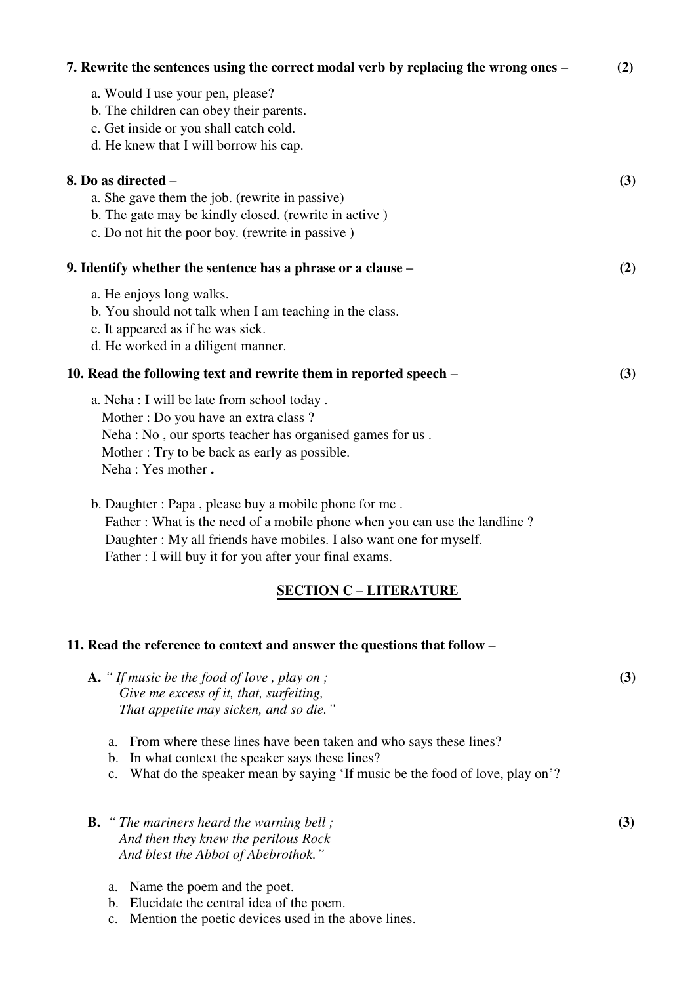| $\lambda$ . Kewrite the sentences using the correct modal verb by replacing the wrong ones $\pm$                                                                                                                                                                   | (4) |
|--------------------------------------------------------------------------------------------------------------------------------------------------------------------------------------------------------------------------------------------------------------------|-----|
| a. Would I use your pen, please?<br>b. The children can obey their parents.<br>c. Get inside or you shall catch cold.<br>d. He knew that I will borrow his cap.                                                                                                    |     |
| 8. Do as directed -                                                                                                                                                                                                                                                | (3) |
| a. She gave them the job. (rewrite in passive)                                                                                                                                                                                                                     |     |
| b. The gate may be kindly closed. (rewrite in active)                                                                                                                                                                                                              |     |
| c. Do not hit the poor boy. (rewrite in passive)                                                                                                                                                                                                                   |     |
| 9. Identify whether the sentence has a phrase or a clause –                                                                                                                                                                                                        | (2) |
| a. He enjoys long walks.                                                                                                                                                                                                                                           |     |
| b. You should not talk when I am teaching in the class.                                                                                                                                                                                                            |     |
| c. It appeared as if he was sick.                                                                                                                                                                                                                                  |     |
| d. He worked in a diligent manner.                                                                                                                                                                                                                                 |     |
| 10. Read the following text and rewrite them in reported speech –                                                                                                                                                                                                  | (3) |
| a. Neha : I will be late from school today.                                                                                                                                                                                                                        |     |
| Mother: Do you have an extra class?                                                                                                                                                                                                                                |     |
| Neha: No, our sports teacher has organised games for us.                                                                                                                                                                                                           |     |
| Mother: Try to be back as early as possible.                                                                                                                                                                                                                       |     |
| Neha: Yes mother.                                                                                                                                                                                                                                                  |     |
| b. Daughter: Papa, please buy a mobile phone for me.<br>Father: What is the need of a mobile phone when you can use the landline?<br>Daughter : My all friends have mobiles. I also want one for myself.<br>Father : I will buy it for you after your final exams. |     |
| <b>SECTION C - LITERATURE</b>                                                                                                                                                                                                                                      |     |

**7. Rewrite the sentences using the correct modal verb by replacing the wrong ones – (2)** 

# **11. Read the reference to context and answer the questions that follow –**

- **A.** "*If music be the food of love* , *play on* ;  $(3)$ *Give me excess of it, that, surfeiting, That appetite may sicken, and so die."*
	- a. From where these lines have been taken and who says these lines?
	- b. In what context the speaker says these lines?
	- c. What do the speaker mean by saying 'If music be the food of love, play on'?
- **B.** *" The mariners heard the warning bell ;*  $(3)$ *And then they knew the perilous Rock And blest the Abbot of Abebrothok."*
	- a. Name the poem and the poet.
	- b. Elucidate the central idea of the poem.
	- c. Mention the poetic devices used in the above lines.